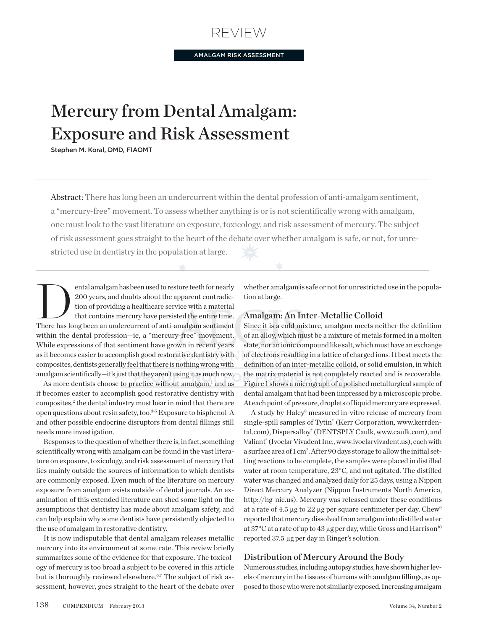# Review

AMALGAM RISK ASSESSMENT

# Mercury from Dental Amalgam: Exposure and Risk Assessment

Stephen M. Koral, DMD, FIAOMT

Abstract: There has long been an undercurrent within the dental profession of anti-amalgam sentiment, a "mercury-free" movement. To assess whether anything is or is not scientifically wrong with amalgam, one must look to the vast literature on exposure, toxicology, and risk assessment of mercury. The subject of risk assessment goes straight to the heart of the debate over whether amalgam is safe, or not, for unrestricted use in dentistry in the population at large.

ental amalgam has been used to restore teeth for nearly<br>
200 years, and doubts about the apparent contradic-<br>
tion of providing a healthcare service with a material<br>
that contains mercury have persisted the entire time.<br>
T 200 years, and doubts about the apparent contradiction of providing a healthcare service with a material that contains mercury have persisted the entire time. There has long been an undercurrent of anti-amalgam sentiment within the dental profession—ie, a "mercury-free" movement. While expressions of that sentiment have grown in recent years as it becomes easier to accomplish good restorative dentistry with composites, dentists generally feel that there is nothing wrong with amalgam scientifically—it's just that they aren't using it as much now.

As more dentists choose to practice without amalgam,<sup>1</sup> and as it becomes easier to accomplish good restorative dentistry with composites,<sup>2</sup> the dental industry must bear in mind that there are open questions about resin safety, too.3-5 Exposure to bisphenol-A and other possible endocrine disruptors from dental fillings still needs more investigation.

Responses to the question of whether there is, in fact, something scientifically wrong with amalgam can be found in the vast literature on exposure, toxicology, and risk assessment of mercury that lies mainly outside the sources of information to which dentists are commonly exposed. Even much of the literature on mercury exposure from amalgam exists outside of dental journals. An examination of this extended literature can shed some light on the assumptions that dentistry has made about amalgam safety, and can help explain why some dentists have persistently objected to the use of amalgam in restorative dentistry.

It is now indisputable that dental amalgam releases metallic mercury into its environment at some rate. This review briefly summarizes some of the evidence for that exposure. The toxicology of mercury is too broad a subject to be covered in this article but is thoroughly reviewed elsewhere.<sup>6,7</sup> The subject of risk assessment, however, goes straight to the heart of the debate over

whether amalgam is safe or not for unrestricted use in the population at large.

## Amalgam: An Inter-Metallic Colloid

Since it is a cold mixture, amalgam meets neither the definition of an alloy, which must be a mixture of metals formed in a molten state, nor an ionic compound like salt, which must have an exchange of electrons resulting in a lattice of charged ions. It best meets the definition of an inter-metallic colloid, or solid emulsion, in which the matrix material is not completely reacted and is recoverable. Figure 1 shows a micrograph of a polished metallurgical sample of dental amalgam that had been impressed by a microscopic probe. At each point of pressure, droplets of liquid mercury are expressed.

A study by Haley<sup>8</sup> measured in-vitro release of mercury from single-spill samples of Tytin<sup>®</sup> (Kerr Corporation, www.kerrdental.com), Dispersalloy® (DENTSPLY Caulk, www.caulk.com), and Valiant® (Ivoclar Vivadent Inc., www.ivoclarvivadent.us), each with a surface area of 1 cm<sup>2</sup>. After 90 days storage to allow the initial setting reactions to be complete, the samples were placed in distilled water at room temperature, 23°C, and not agitated. The distilled water was changed and analyzed daily for 25 days, using a Nippon Direct Mercury Analyzer (Nippon Instruments North America, http://hg-nic.us). Mercury was released under these conditions at a rate of 4.5  $\mu$ g to 22  $\mu$ g per square centimeter per day. Chew<sup>9</sup> reported that mercury dissolved from amalgam into distilled water at 37 $^{\circ}$ C at a rate of up to 43 µg per day, while Gross and Harrison<sup>10</sup> reported 37.5 µg per day in Ringer's solution.

# Distribution of Mercury Around the Body

Numerous studies, including autopsy studies, have shown higher levels of mercury in the tissues of humans with amalgam fillings, as opposed to those who were not similarly exposed. Increasing amalgam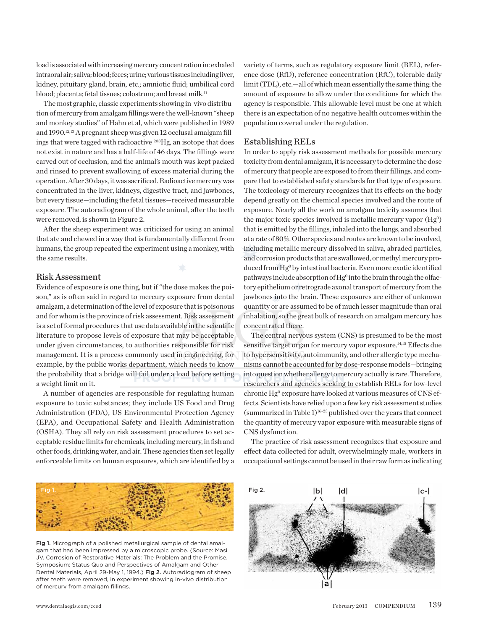load is associated with increasing mercury concentration in: exhaled intraoral air; saliva; blood; feces; urine; various tissues including liver, kidney, pituitary gland, brain, etc.; amniotic fluid; umbilical cord blood; placenta; fetal tissues; colostrum; and breast milk.<sup>11</sup>

The most graphic, classic experiments showing in-vivo distribution of mercury from amalgam fillings were the well-known "sheep and monkey studies" of Hahn et al, which were published in 1989 and 1990.<sup>12,13</sup> A pregnant sheep was given 12 occlusal amalgam fillings that were tagged with radioactive 203Hg, an isotope that does not exist in nature and has a half-life of 46 days. The fillings were carved out of occlusion, and the animal's mouth was kept packed and rinsed to prevent swallowing of excess material during the operation. After 30 days, it was sacrificed. Radioactive mercury was concentrated in the liver, kidneys, digestive tract, and jawbones, but every tissue—including the fetal tissues—received measurable exposure. The autoradiogram of the whole animal, after the teeth were removed, is shown in Figure 2.

After the sheep experiment was criticized for using an animal that ate and chewed in a way that is fundamentally different from humans, the group repeated the experiment using a monkey, with the same results.

#### Risk Assessment

Evidence of exposure is one thing, but if "the dose makes the poison," as is often said in regard to mercury exposure from dental amalgam, a determination of the level of exposure that is poisonous and for whom is the province of risk assessment. Risk assessment is a set of formal procedures that use data available in the scientific literature to propose levels of exposure that may be acceptable under given circumstances, to authorities responsible for risk management. It is a process commonly used in engineering, for example, by the public works department, which needs to know the probability that a bridge will fail under a load before setting a weight limit on it.

A number of agencies are responsible for regulating human exposure to toxic substances; they include US Food and Drug Administration (FDA), US Environmental Protection Agency (EPA), and Occupational Safety and Health Administration (OSHA). They all rely on risk assessment procedures to set acceptable residue limits for chemicals, including mercury, in fish and other foods, drinking water, and air. These agencies then set legally enforceable limits on human exposures, which are identified by a

variety of terms, such as regulatory exposure limit (REL), reference dose (RfD), reference concentration (RfC), tolerable daily limit (TDL), etc.—all of which mean essentially the same thing: the amount of exposure to allow under the conditions for which the agency is responsible. This allowable level must be one at which there is an expectation of no negative health outcomes within the population covered under the regulation.

## Establishing RELs

In order to apply risk assessment methods for possible mercury toxicity from dental amalgam, it is necessary to determine the dose of mercury that people are exposed to from their fillings, and compare that to established safety standards for that type of exposure. The toxicology of mercury recognizes that its effects on the body depend greatly on the chemical species involved and the route of exposure. Nearly all the work on amalgam toxicity assumes that the major toxic species involved is metallic mercury vapor  $(Hg^0)$ that is emitted by the fillings, inhaled into the lungs, and absorbed at a rate of 80%. Other species and routes are known to be involved, including metallic mercury dissolved in saliva, abraded particles, and corrosion products that are swallowed, or methyl mercury produced from Hg<sup>0</sup> by intestinal bacteria. Even more exotic identified pathways include absorption of Hg<sup>0</sup> into the brain through the olfactory epithelium or retrograde axonal transport of mercury from the jawbones into the brain. These exposures are either of unknown quantity or are assumed to be of much lesser magnitude than oral inhalation, so the great bulk of research on amalgam mercury has concentrated there.

The central nervous system (CNS) is presumed to be the most sensitive target organ for mercury vapor exposure.<sup>14,15</sup> Effects due to hypersensitivity, autoimmunity, and other allergic type mechanisms cannot be accounted for by dose-response models—bringing into question whether allergy to mercury actually is rare. Therefore, researchers and agencies seeking to establish RELs for low-level chronic Hg<sup>0</sup> exposure have looked at various measures of CNS effects. Scientists have relied upon a few key risk assessment studies (summarized in Table 1)16-23 published over the years that connect the quantity of mercury vapor exposure with measurable signs of CNS dysfunction.

The practice of risk assessment recognizes that exposure and effect data collected for adult, overwhelmingly male, workers in occupational settings cannot be used in their raw form as indicating



Fig 1. Micrograph of a polished metallurgical sample of dental amalgam that had been impressed by a microscopic probe. (Source: Masi JV. Corrosion of Restorative Materials: The Problem and the Promise. Symposium: Status Quo and Perspectives of Amalgam and Other Dental Materials, April 29-May 1, 1994.) Fig 2. Autoradiogram of sheep after teeth were removed, in experiment showing in-vivo distribution of mercury from amalgam fillings.

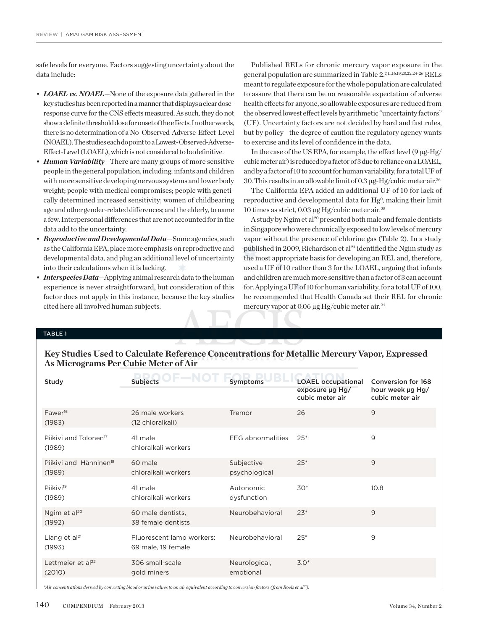safe levels for everyone. Factors suggesting uncertainty about the data include:

- *• LOAEL vs. NOAEL*—None of the exposure data gathered in the key studies has been reported in a manner that displays a clear doseresponse curve for the CNS effects measured. As such, they do not show a definite threshold dose for onset of the effects. In other words, there is no determination of a No-Observed-Adverse-Effect-Level (NOAEL). The studies each do point to a Lowest-Observed-Adverse-Effect-Level (LOAEL), which is not considered to be definitive.
- *• Human Variability*—There are many groups of more sensitive people in the general population, including: infants and children with more sensitive developing nervous systems and lower body weight; people with medical compromises; people with genetically determined increased sensitivity; women of childbearing age and other gender-related differences; and the elderly, to name a few. Interpersonal differences that are not accounted for in the data add to the uncertainty.
- *Reproductive and Developmental Data*—Some agencies, such as the California EPA, place more emphasis on reproductive and developmental data, and plug an additional level of uncertainty into their calculations when it is lacking.
- *Interspecies Data*—Applying animal research data to the human experience is never straightforward, but consideration of this factor does not apply in this instance, because the key studies cited here all involved human subjects.

Published RELs for chronic mercury vapor exposure in the general population are summarized in Table 2.7,11,16,19,20,22,24-26 RELs meant to regulate exposure for the whole population are calculated to assure that there can be no reasonable expectation of adverse health effects for anyone, so allowable exposures are reduced from the observed lowest effect levels by arithmetic "uncertainty factors" (UF). Uncertainty factors are not decided by hard and fast rules, but by policy—the degree of caution the regulatory agency wants to exercise and its level of confidence in the data.

In the case of the US EPA, for example, the effect level (9  $\mu\text{g-Hg}/$ cubic meter air) is reduced by a factor of 3 due to reliance on a LOAEL, and by a factor of 10 to account for human variability, for a total UF of 30. This results in an allowable limit of 0.3 µg-Hg/cubic meter air.26

The California EPA added an additional UF of 10 for lack of reproductive and developmental data for Hg<sup>o</sup>, making their limit 10 times as strict, 0.03 µg Hg/cubic meter air.25

A study by Ngim et al<sup>20</sup> presented both male and female dentists in Singapore who were chronically exposed to low levels of mercury vapor without the presence of chlorine gas (Table 2). In a study published in 2009, Richardson et al<sup>24</sup> identified the Ngim study as the most appropriate basis for developing an REL and, therefore, used a UF of 10 rather than 3 for the LOAEL, arguing that infants and children are much more sensitive than a factor of 3 can account for. Applying a UF of 10 for human variability, for a total UF of 100, he recommended that Health Canada set their REL for chronic mercury vapor at 0.06 µg Hg/cubic meter air.<sup>24</sup>

#### table 1

**Key Studies Used to Calculate Reference Concentrations for Metallic Mercury Vapor, Expressed As Micrograms Per Cubic Meter of Air** 

| Study                                        | <b>Subjects</b>                                 | Symptoms                    | <b>LOAEL occupational</b><br>exposure $\mu$ g Hg/<br>cubic meter air | Conversion for 168<br>hour week µg Hg/<br>cubic meter air |
|----------------------------------------------|-------------------------------------------------|-----------------------------|----------------------------------------------------------------------|-----------------------------------------------------------|
| Fawer <sup>16</sup><br>(1983)                | 26 male workers<br>(12 chloralkali)             | Tremor                      | 26                                                                   | 9                                                         |
| Piikivi and Tolonen <sup>17</sup><br>(1989)  | 41 male<br>chloralkali workers                  | <b>EEG</b> abnormalities    | $25*$                                                                | 9                                                         |
| Piikivi and Hänninen <sup>18</sup><br>(1989) | 60 male<br>chloralkali workers                  | Subjective<br>psychological | $25*$                                                                | 9                                                         |
| Piikivi <sup>19</sup><br>(1989)              | 41 male<br>chloralkali workers                  | Autonomic<br>dysfunction    | $30*$                                                                | 10.8                                                      |
| Ngim et al <sup>20</sup><br>(1992)           | 60 male dentists.<br>38 female dentists         | Neurobehavioral             | $23*$                                                                | 9                                                         |
| Liang et $al^{21}$<br>(1993)                 | Fluorescent lamp workers:<br>69 male, 19 female | Neurobehavioral             | $25*$                                                                | 9                                                         |
| Lettmeier et al <sup>22</sup><br>(2010)      | 306 small-scale<br>gold miners                  | Neurological,<br>emotional  | $3.0*$                                                               |                                                           |

*\*Air concentrations derived by converting blood or urine values to an air equivalent according to conversion factors ( from Roels et al23).*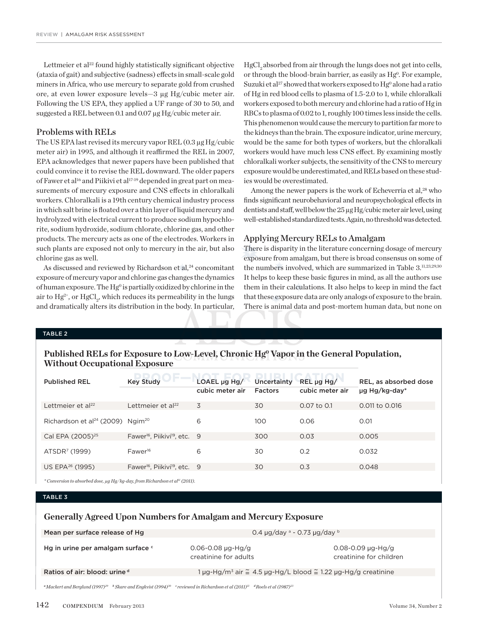Lettmeier et al<sup>22</sup> found highly statistically significant objective (ataxia of gait) and subjective (sadness) effects in small-scale gold miners in Africa, who use mercury to separate gold from crushed ore, at even lower exposure levels—3 µg Hg/cubic meter air. Following the US EPA, they applied a UF range of 30 to 50, and suggested a REL between 0.1 and 0.07 µg Hg/cubic meter air.

#### Problems with RELs

The US EPA last revised its mercury vapor REL (0.3 µg Hg/cubic meter air) in 1995, and although it reaffirmed the REL in 2007, EPA acknowledges that newer papers have been published that could convince it to revise the REL downward. The older papers of Fawer et al<sup>16</sup> and Piikivi et al<sup>17-19</sup> depended in great part on measurements of mercury exposure and CNS effects in chloralkali workers. Chloralkali is a 19th century chemical industry process in which salt brine is floated over a thin layer of liquid mercury and hydrolyzed with electrical current to produce sodium hypochlorite, sodium hydroxide, sodium chlorate, chlorine gas, and other products. The mercury acts as one of the electrodes. Workers in such plants are exposed not only to mercury in the air, but also chlorine gas as well.

As discussed and reviewed by Richardson et al,<sup>24</sup> concomitant exposure of mercury vapor and chlorine gas changes the dynamics of human exposure. The  $Hg^0$  is partially oxidized by chlorine in the air to  $\mathrm{Hg^{2+}}$ , or  $\mathrm{HgCl}_{2}$ , which reduces its permeability in the lungs and dramatically alters its distribution in the body. In particular,

HgCl<sub>a</sub> absorbed from air through the lungs does not get into cells, or through the blood-brain barrier, as easily as Hg<sup>o</sup>. For example, Suzuki et al<sup>27</sup> showed that workers exposed to  $Hg^0$  alone had a ratio of Hg in red blood cells to plasma of 1.5-2.0 to 1, while chloralkali workers exposed to both mercury and chlorine had a ratio of Hg in RBCs to plasma of 0.02 to 1, roughly 100 times less inside the cells. This phenomenon would cause the mercury to partition far more to the kidneys than the brain. The exposure indicator, urine mercury, would be the same for both types of workers, but the chloralkali workers would have much less CNS effect. By examining mostly chloralkali worker subjects, the sensitivity of the CNS to mercury exposure would be underestimated, and RELs based on these studies would be overestimated.

Among the newer papers is the work of Echeverria et al,<sup>28</sup> who finds significant neurobehavioral and neuropsychological effects in dentists and staff, well below the 25 µg Hg/cubic meter air level, using well-established standardized tests. Again, no threshold was detected.

#### Applying Mercury RELs to Amalgam

There is disparity in the literature concerning dosage of mercury exposure from amalgam, but there is broad consensus on some of the numbers involved, which are summarized in Table 3.<sup>11,23,29,30</sup> It helps to keep these basic figures in mind, as all the authors use them in their calculations. It also helps to keep in mind the fact that these exposure data are only analogs of exposure to the brain. There is animal data and post-mortem human data, but none on

#### table 2

# Published RELs for Exposure to Low-Level, Chronic Hg<sup>o</sup> Vapor in the General Population, **Without Occupational Exposure**

| <b>Published REL</b>                                     | <b>Key Study</b>                                     | $LOAEL \mu g Hg/$<br>cubic meter air | Uncertainty<br>Factors | $REL \mu g Hg/$<br>cubic meter air | REL, as absorbed dose<br>µg Hg/kg-day* |
|----------------------------------------------------------|------------------------------------------------------|--------------------------------------|------------------------|------------------------------------|----------------------------------------|
| Lettmeier et $al^{22}$                                   | Lettmeier et al <sup>22</sup>                        | 3                                    | 30                     | 0.07 to 0.1                        | 0.011 to 0.016                         |
| Richardson et al <sup>24</sup> (2009) Ngim <sup>20</sup> |                                                      | 6                                    | 100                    | 0.06                               | 0.01                                   |
| Cal EPA (2005) <sup>25</sup>                             | Fawer <sup>16</sup> , Piikivi <sup>19</sup> , etc. 9 |                                      | 300                    | 0.03                               | 0.005                                  |
| ATSDR <sup>7</sup> (1999)                                | Fawer <sup>16</sup>                                  | 6                                    | 30                     | 0.2                                | 0.032                                  |
| US EPA <sup>26</sup> (1995)                              | Fawer <sup>16</sup> , Piikivi <sup>19</sup> , etc. 9 |                                      | 30                     | 0.3                                | 0.048                                  |

*\* Conversion to absorbed dose, µg Hg/kg-day, from Richardson et al11 (2011).*

#### table 3

# **Generally Agreed Upon Numbers for Amalgam and Mercury Exposure**

| Mean per surface release of Hg                                                      | 0.4 $\mu$ g/day <sup>a</sup> - 0.73 $\mu$ g/day b                        |  |  |
|-------------------------------------------------------------------------------------|--------------------------------------------------------------------------|--|--|
| Hg in urine per amalgam surface c<br>$0.06 - 0.08$ µg-Hg/g<br>creatinine for adults | $0.08 - 0.09$ µg-Hg/g<br>creatinine for children                         |  |  |
| Ratios of air: blood: urine d                                                       | l µg-Hg/m <sup>3</sup> air ≅ 4.5 µg-Hg/L blood ≅ 1.22 µg-Hg/g creatinine |  |  |

*<sup>a</sup>Mackert and Berglund (1997)29 <sup>b</sup> Skare and Engkvist (1994)30 <sup>c</sup> reviewed in Richardson et al (2011)11 dRoels et al (1987)23*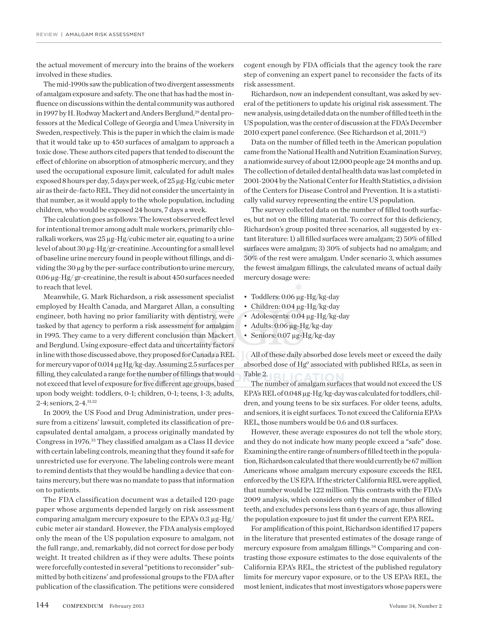the actual movement of mercury into the brains of the workers involved in these studies.

The mid-1990s saw the publication of two divergent assessments of amalgam exposure and safety. The one that has had the most influence on discussions within the dental community was authored in 1997 by H. Rodway Mackert and Anders Berglund,<sup>29</sup> dental professors at the Medical College of Georgia and Umea University in Sweden, respectively. This is the paper in which the claim is made that it would take up to 450 surfaces of amalgam to approach a toxic dose. These authors cited papers that tended to discount the effect of chlorine on absorption of atmospheric mercury, and they used the occupational exposure limit, calculated for adult males exposed 8 hours per day, 5 days per week, of 25 µg-Hg/cubic meter air as their de-facto REL. They did not consider the uncertainty in that number, as it would apply to the whole population, including children, who would be exposed 24 hours, 7 days a week.

The calculation goes as follows: The lowest observed effect level for intentional tremor among adult male workers, primarily chloralkali workers, was 25 µg-Hg/cubic meter air, equating to a urine level of about 30 µg-Hg/gr-creatinine. Accounting for a small level of baseline urine mercury found in people without fillings, and dividing the 30 µg by the per-surface contribution to urine mercury, 0.06 µg-Hg/ gr-creatinine, the result is about 450 surfaces needed to reach that level.

Meanwhile, G. Mark Richardson, a risk assessment specialist employed by Health Canada, and Margaret Allan, a consulting engineer, both having no prior familiarity with dentistry, were tasked by that agency to perform a risk assessment for amalgam in 1995. They came to a very different conclusion than Mackert and Berglund. Using exposure-effect data and uncertainty factors in line with those discussed above, they proposed for Canada a REL for mercury vapor of 0.014 µg Hg/kg-day. Assuming 2.5 surfaces per filling, they calculated a range for the number of fillings that would not exceed that level of exposure for five different age groups, based upon body weight: toddlers, 0-1; children, 0-1; teens, 1-3; adults, 2-4; seniors, 2-4.31,32

In 2009, the US Food and Drug Administration, under pressure from a citizens' lawsuit, completed its classification of precapsulated dental amalgam, a process originally mandated by Congress in 1976.33 They classified amalgam as a Class II device with certain labeling controls, meaning that they found it safe for unrestricted use for everyone. The labeling controls were meant to remind dentists that they would be handling a device that contains mercury, but there was no mandate to pass that information on to patients.

The FDA classification document was a detailed 120-page paper whose arguments depended largely on risk assessment comparing amalgam mercury exposure to the EPA's 0.3 µg-Hg/ cubic meter air standard. However, the FDA analysis employed only the mean of the US population exposure to amalgam, not the full range, and, remarkably, did not correct for dose per body weight. It treated children as if they were adults. These points were forcefully contested in several "petitions to reconsider" submitted by both citizens' and professional groups to the FDA after publication of the classification. The petitions were considered cogent enough by FDA officials that the agency took the rare step of convening an expert panel to reconsider the facts of its risk assessment.

Richardson, now an independent consultant, was asked by several of the petitioners to update his original risk assessment. The new analysis, using detailed data on the number of filled teeth in the US population, was the center of discussion at the FDA's December 2010 expert panel conference. (See Richardson et al, 2011.<sup>11</sup>)

Data on the number of filled teeth in the American population came from the National Health and Nutrition Examination Survey, a nationwide survey of about 12,000 people age 24 months and up. The collection of detailed dental health data was last completed in 2001-2004 by the National Center for Health Statistics, a division of the Centers for Disease Control and Prevention. It is a statistically valid survey representing the entire US population.

The survey collected data on the number of filled tooth surfaces, but not on the filling material. To correct for this deficiency, Richardson's group posited three scenarios, all suggested by extant literature: 1) all filled surfaces were amalgam; 2) 50% of filled surfaces were amalgam; 3) 30% of subjects had no amalgam; and 50% of the rest were amalgam. Under scenario 3, which assumes the fewest amalgam fillings, the calculated means of actual daily mercury dosage were:

- Toddlers: 0.06 µg-Hg/kg-day
- • Children: 0.04 µg-Hg/kg-day
- • Adolescents: 0.04 µg-Hg/kg-day
- Adults: 0.06 µg-Hg/kg-day
- Seniors: 0.07 µg-Hg/kg-day

All of these daily absorbed dose levels meet or exceed the daily absorbed dose of Hg<sup>0</sup> associated with published RELs, as seen in Table 2. **REICATION** 

The number of amalgam surfaces that would not exceed the US EPA's REL of 0.048 µg-Hg/kg-day was calculated for toddlers, children, and young teens to be six surfaces. For older teens, adults, and seniors, it is eight surfaces. To not exceed the California EPA's REL, those numbers would be 0.6 and 0.8 surfaces.

However, these average exposures do not tell the whole story, and they do not indicate how many people exceed a "safe" dose. Examining the entire range of numbers of filled teeth in the population, Richardson calculated that there would currently be 67 million Americans whose amalgam mercury exposure exceeds the REL enforced by the US EPA. If the stricter California REL were applied, that number would be 122 million. This contrasts with the FDA's 2009 analysis, which considers only the mean number of filled teeth, and excludes persons less than 6 years of age, thus allowing the population exposure to just fit under the current EPA REL.

For amplification of this point, Richardson identified 17 papers in the literature that presented estimates of the dosage range of mercury exposure from amalgam fillings.<sup>34</sup> Comparing and contrasting those exposure estimates to the dose equivalents of the California EPA's REL, the strictest of the published regulatory limits for mercury vapor exposure, or to the US EPA's REL, the most lenient, indicates that most investigators whose papers were